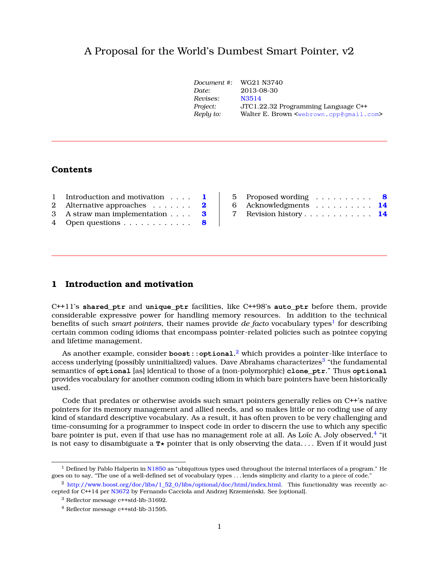# A Proposal for the World's Dumbest Smart Pointer, v2

| Document #: | WG21 N3740                                                      |
|-------------|-----------------------------------------------------------------|
| Date:       | 2013-08-30                                                      |
| Revises:    | N3514                                                           |
| Project:    | JTC1.22.32 Programming Language C++                             |
| Reply to:   | Walter E. Brown <webrown.cpp@qmail.com></webrown.cpp@qmail.com> |
|             |                                                                 |

# **Contents**

| 1 Introduction and motivation 1              |  |
|----------------------------------------------|--|
| 2 Alternative approaches $\dots \dots$ 2     |  |
| 3 A straw man implementation $\ldots$ 3      |  |
| 4 Open questions $\dots \dots \dots \dots$ 8 |  |

| 5 Proposed wording $\ldots \ldots \ldots$ 8 |  |  |  |  |  |  |
|---------------------------------------------|--|--|--|--|--|--|
| 6 Acknowledgments $\ldots \ldots \ldots$ 14 |  |  |  |  |  |  |
| 7 Revision history 14                       |  |  |  |  |  |  |

## <span id="page-0-0"></span>**1 Introduction and motivation**

C++11's **shared\_ptr** and **unique\_ptr** facilities, like C++98's **auto\_ptr** before them, provide considerable expressive power for handling memory resources. In addition to the technical benefits of such *smart pointers, their names provide <i>de facto v*ocabulary types<sup>[1](#page-0-1)</sup> for describing certain common coding idioms that encompass pointer-related policies such as pointee copying and lifetime management.

As another example, consider **boost::optional**, [2](#page-0-2) which provides a pointer-like interface to access underlying (possibly uninitialized) values. Dave Abrahams characterizes<sup>[3](#page-0-3)</sup> "the fundamental semantics of **optional** [as] identical to those of a (non-polymorphic) **clone\_ptr**." Thus **optional** provides vocabulary for another common coding idiom in which bare pointers have been historically used.

Code that predates or otherwise avoids such smart pointers generally relies on C++'s native pointers for its memory management and allied needs, and so makes little or no coding use of any kind of standard descriptive vocabulary. As a result, it has often proven to be very challenging and time-consuming for a programmer to inspect code in order to discern the use to which any specific bare pointer is put, even if that use has no management role at all. As Loïc A. Joly observed, $^4$  $^4$  "it is not easy to disambiguate a  $\mathbf{r} \star$  pointer that is only observing the data.... Even if it would just

<span id="page-0-1"></span><sup>&</sup>lt;sup>1</sup> Defined by Pablo Halperin in [N1850](http://www.open-std.org/jtc1/sc22/wg21/docs/papers/2005/n1850.pdf) as "ubiquitous types used throughout the internal interfaces of a program." He goes on to say, "The use of a well-defined set of vocabulary types . . . lends simplicity and clarity to a piece of code."

<span id="page-0-2"></span><sup>&</sup>lt;sup>2</sup> [http://www.boost.org/doc/libs/1\\_52\\_0/libs/optional/doc/html/index.html.](http://www.boost.org/doc/libs/1_52_0/libs/optional/doc/html/index.html) This functionality was recently ac-cepted for C++14 per [N3672](http://www.open-std.org/jtc1/sc22/wg21/docs/papers/2013/n3406.html) by Fernando Cacciola and Andrzej Krzemieński. See [optional].

<span id="page-0-3"></span><sup>3</sup> Reflector message c++std-lib-31692.

<span id="page-0-4"></span><sup>4</sup> Reflector message c++std-lib-31595.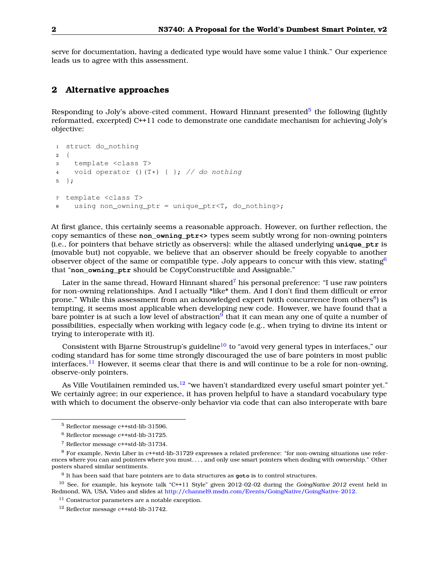<span id="page-1-0"></span>serve for documentation, having a dedicated type would have some value I think." Our experience leads us to agree with this assessment.

## **2 Alternative approaches**

Responding to Joly's above-cited comment, Howard Hinnant presented<sup>[5](#page-1-1)</sup> the following (lightly reformatted, excerpted) C++11 code to demonstrate one candidate mechanism for achieving Joly's objective:

```
1 struct do_nothing
2 {
3 template <class T>
4 void operator ()(T*) { }; // do nothing
5 };
7 template <class T>
8 using non owning ptr = unique ptr<T, do nothing>;
```
At first glance, this certainly seems a reasonable approach. However, on further reflection, the copy semantics of these **non\_owning\_ptr<>** types seem subtly wrong for non-owning pointers (i.e., for pointers that behave strictly as observers): while the aliased underlying **unique\_ptr** is (movable but) not copyable, we believe that an observer should be freely copyable to another observer object of the same or compatible type. Joly appears to concur with this view, stating<sup>[6](#page-1-2)</sup> that "**non\_owning\_ptr** should be CopyConstructible and Assignable."

Later in the same thread, Howard Hinnant shared<sup>[7](#page-1-3)</sup> his personal preference: "I use raw pointers for non-owning relationships. And I actually \*like\* them. And I don't find them difficult or error prone." While this assessment from an acknowledged expert (with concurrence from others<sup>[8](#page-1-4)</sup>) is tempting, it seems most applicable when developing new code. However, we have found that a bare pointer is at such a low level of abstraction<sup>[9](#page-1-5)</sup> that it can mean any one of quite a number of possibilities, especially when working with legacy code (e.g., when trying to divine its intent or trying to interoperate with it).

Consistent with Bjarne Stroustrup's guideline<sup>[10](#page-1-6)</sup> to "avoid very general types in interfaces," our coding standard has for some time strongly discouraged the use of bare pointers in most public interfaces.<sup>[11](#page-1-7)</sup> However, it seems clear that there is and will continue to be a role for non-owning, observe-only pointers.

As Ville Voutilainen reminded us,  $12$  "we haven't standardized every useful smart pointer yet." We certainly agree; in our experience, it has proven helpful to have a standard vocabulary type with which to document the observe-only behavior via code that can also interoperate with bare

<span id="page-1-1"></span><sup>5</sup> Reflector message c++std-lib-31596.

<span id="page-1-2"></span><sup>6</sup> Reflector message c++std-lib-31725.

<span id="page-1-4"></span><span id="page-1-3"></span><sup>7</sup> Reflector message c++std-lib-31734.

<sup>8</sup> For example, Nevin Liber in c++std-lib-31729 expresses a related preference: "for non-owning situations use references where you can and pointers where you must. . . , and only use smart pointers when dealing with ownership." Other posters shared similar sentiments.

<span id="page-1-6"></span><span id="page-1-5"></span><sup>9</sup> It has been said that bare pointers are to data structures as **goto** is to control structures.

<sup>10</sup> See, for example, his keynote talk "C++11 Style" given 2012-02-02 during the *GoingNative 2012* event held in Redmond, WA, USA. Video and slides at [http://channel9.msdn.com/Events/GoingNative/GoingNative-2012.](http://channel9.msdn.com/Events/GoingNative/GoingNative-2012)

<span id="page-1-7"></span><sup>&</sup>lt;sup>11</sup> Constructor parameters are a notable exception.

<span id="page-1-8"></span><sup>12</sup> Reflector message c++std-lib-31742.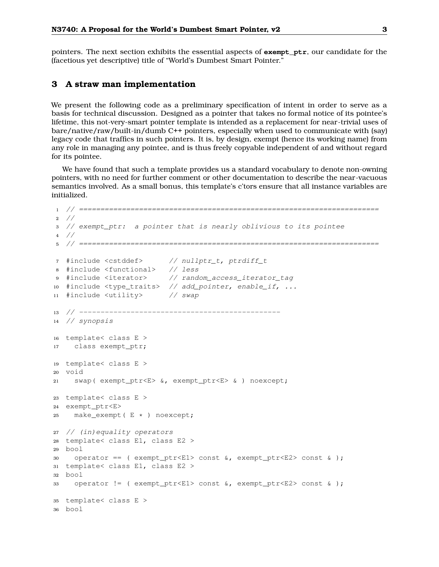pointers. The next section exhibits the essential aspects of **exempt\_ptr**, our candidate for the (facetious yet descriptive) title of "World's Dumbest Smart Pointer."

# <span id="page-2-0"></span>**3 A straw man implementation**

We present the following code as a preliminary specification of intent in order to serve as a basis for technical discussion. Designed as a pointer that takes no formal notice of its pointee's lifetime, this not-very-smart pointer template is intended as a replacement for near-trivial uses of bare/native/raw/built-in/dumb C++ pointers, especially when used to communicate with (say) legacy code that traffics in such pointers. It is, by design, exempt (hence its working name) from any role in managing any pointee, and is thus freely copyable independent of and without regard for its pointee.

We have found that such a template provides us a standard vocabulary to denote non-owning pointers, with no need for further comment or other documentation to describe the near-vacuous semantics involved. As a small bonus, this template's c'tors ensure that all instance variables are initialized.

```
1 // ======================================================================
2 //
3 // exempt_ptr: a pointer that is nearly oblivious to its pointee
4 //
5 // ======================================================================
7 #include <cstddef> // nullptr_t, ptrdiff_t
8 #include <functional> // less
9 #include <iterator> // random_access_iterator_tag
10 #include <type_traits> // add_pointer, enable_if, ...
11 #include <utility> // swap
13 // -----------------------------------------------
14 // synopsis
16 template< class E >
17 class exempt_ptr;
19 template< class E >
20 void
21 swap( exempt_ptr<E> &, exempt_ptr<E> & ) noexcept;
23 template< class E >
24 exempt_ptr<E>
25 make_exempt( E * ) noexcept;
27 // (in)equality operators
28 template< class E1, class E2 >
29 bool
30 operator == ( exempt_ptr<E1> const &, exempt_ptr<E2> const & );
31 template< class E1, class E2 >
32 bool
33 operator != ( exempt_ptr<E1> const &, exempt_ptr<E2> const & );
35 template< class E >
36 bool
```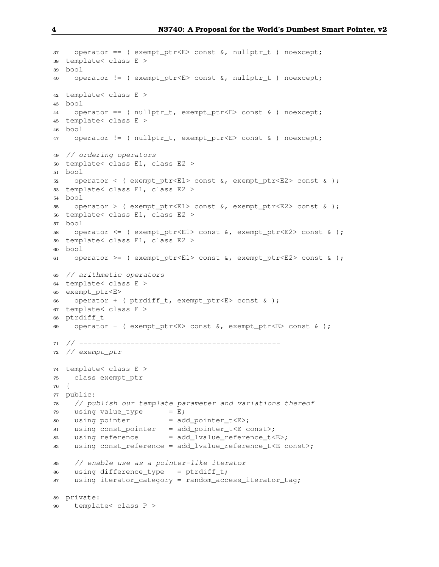```
37 operator == (exempt\_ptr < E> const \< nullptr_t) noexcept;
38 template< class E >
39 bool
40 operator != ( exempt_ptr<E> const &, nullptr_t ) noexcept;
42 template< class E >
43 bool
44 operator == ( nullptr_t, exempt_ptr<E> const & ) noexcept;
45 template< class E >
46 bool
47 operator != ( nullptr_t, exempt_ptr<E> const & ) noexcept;
49 // ordering operators
50 template< class E1, class E2 >
51 bool
52 operator < ( exempt_ptr<E1> const &, exempt_ptr<E2> const & );
53 template< class E1, class E2 >
54 bool
55 operator > ( exempt_ptr<E1> const &, exempt_ptr<E2> const & );
56 template< class E1, class E2 >
57 bool
58 operator <= ( exempt_ptr<E1> const &, exempt_ptr<E2> const & );
59 template< class E1, class E2 >
60 bool
61 operator >= ( exempt_ptr<E1> const \&sub>6</sub>, exempt_ptr<E2> const \&sub>6</sub>;
63 // arithmetic operators
64 template< class E >
65 exempt_ptr<E>
66 operator + ( ptrdiff t, exempt ptr<E> const \& );
67 template< class E >
68 ptrdiff t
69 operator - ( exempt_ptr<E> const \&b, exempt_ptr<E> const \&b);
71 // -----------------------------------------------
72 // exempt_ptr
74 template< class E >
75 class exempt_ptr
76 {
77 public:
78 // publish our template parameter and variations thereof
79 using value_type = E;
80 using pointer = add\_pointer_t < E;
81 using const_pointer = add_pointer_t<E const>;
82 using reference = add_lvalue_reference_t<E>;
83 using const_reference = add_lvalue_reference_t<E const>;
85 // enable use as a pointer-like iterator
86 using difference_type = ptrdiff_t;
87 using iterator_category = random_access_iterator_tag;
89 private:
90 template< class P >
```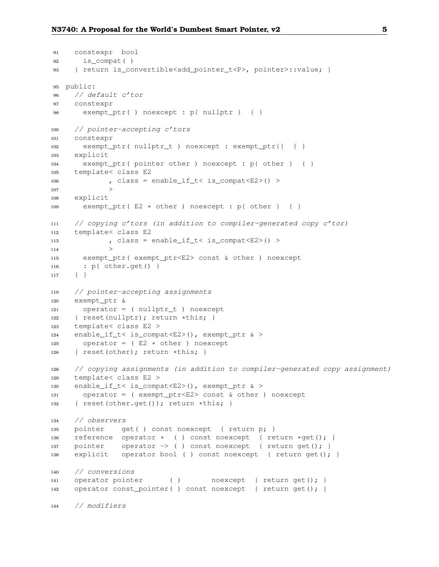```
91 constexpr bool
92 is_compat( )
93 { return is_convertible<add_pointer_t<P>, pointer>::value; }
95 public:
96 // default c'tor
97 constexpr
98 exempt_ptr( ) noexcept : p{ nullptr } { }
100 // pointer-accepting c'tors
101 constexpr
102 exempt_ptr( nullptr_t ) noexcept : exempt_ptr{} { }
103 explicit
104 exempt_ptr( pointer other ) noexcept : p{ other } { }
105 template< class E2
106 , class = enable_if_t< is_compat<E2>() >
\qquad \qquad 107108 explicit
109 exempt_ptr( E2 * other ) noexcept : p{ other } { }
111 // copying c'tors (in addition to compiler-generated copy c'tor)
112 template< class E2
113 , class = enable_if_t< is_compat<E2>() >
\qquad \qquad 114 \qquad \qquad \Rightarrow115 exempt_ptr( exempt_ptr<E2> const & other ) noexcept
116 : p{ other.get() }
117 { }
119 // pointer-accepting assignments
120 exempt_ptr &
121 operator = ( nullptr_t ) noexcept
122 { reset(nullptr); return *this; }
123 template< class E2 >
124 enable_if_t< is_compat<E2>(), exempt_ptr & >
125 operator = ( E2 \times other ) noexcept
126 { reset(other); return *this; }
128 // copying assignments (in addition to compiler-generated copy assignment)
129 template< class E2 >
130 enable_if_t< is_compat<E2>(), exempt_ptr & >
131 operator = ( exempt_ptr<E2> const & other ) noexcept
132 { reset(other.get()); return *this; }
134 // observers
135 pointer get( ) const noexcept { return p; }
136 reference operator \star ( ) const noexcept { return \starget(); }
137 pointer operator -> () const noexcept { return get(); }
138 explicit operator bool ( ) const noexcept { return get(); }
140 // conversions
141 operator pointer ( ) and noexcept { return get(); }
142 operator const_pointer( ) const noexcept { return get(); }
144 // modifiers
```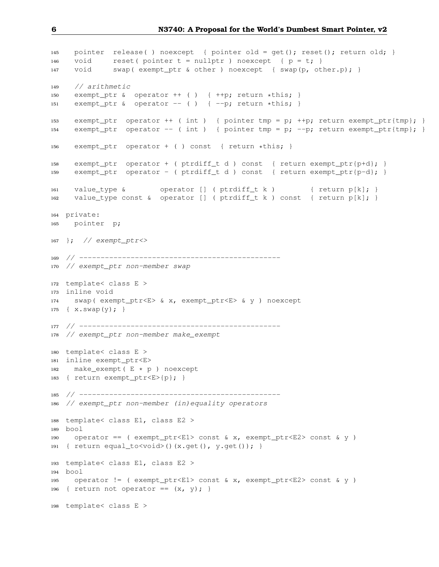```
145 pointer release( ) noexcept { pointer old = get(); reset(); return old; }
146 void reset(pointer t = nullptr) noexcept { p = t; }
147 void swap( exempt_ptr & other ) noexcept { swap(p, other.p); }
149 // arithmetic
150 exempt_ptr & operator ++ ( ) { ++p; return *this; }
151 exempt_ptr & operator -- ( ) \{-p; return *this; }
153 exempt_ptr operator ++ ( int ) { pointer tmp = p; ++p; return exempt_ptr{tmp}; }
154 exempt_ptr operator -- ( int ) { pointer tmp = p; --p; return exempt_ptr{tmp}; }
156 exempt_ptr operator + ( ) const { return *this; }
158 exempt_ptr operator + ( ptrdiff_t d ) const { return exempt_ptr{p+d}; }
159 exempt_ptr operator - ( ptrdiff_t d ) const { return exempt_ptr{p-d}; }
161 value_type & operator [] ( ptrdiff_t k ) { return p[k]; }
162 value_type const & operator [] ( ptrdiff_t k ) const { return p[k]; }
164 private:
165 pointer p;
167 }; // exempt_ptr<>
169 // -----------------------------------------------
170 // exempt_ptr non-member swap
172 template< class E >
173 inline void
174 swap( exempt_ptr<E> & x, exempt_ptr<E> & y ) noexcept
175 { x.swap(y); }
177 // -----------------------------------------------
178 // exempt_ptr non-member make_exempt
180 template< class E >
181 inline exempt_ptr<E>
182 make_exempt( E * p ) noexcept
183 { return exempt_ptr<E>{p}; }
185 // -----------------------------------------------
186 // exempt_ptr non-member (in)equality operators
188 template< class E1, class E2 >
189 bool
190 operator == ( exempt_ptr<E1> const & x, exempt_ptr<E2> const & y )
191 { return equal_to<void>()(x.get(), y.get()); }
193 template< class E1, class E2 >
194 bool
195 operator != ( exempt_ptr<E1> const & x, exempt_ptr<E2> const & y )
196 { return not operator == (x, y); }
198 template< class E >
```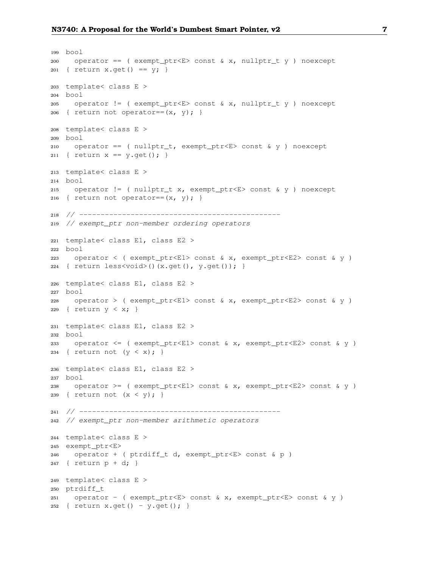```
199 bool
200 operator == ( exempt_ptr<E> const & x, nullptr_t y ) noexcept
201 { return x.get () == y; }
203 template< class E >
204 bool
205 operator != ( exempt ptr<E> const & x, nullptr t y ) noexcept
206 { return not operator == (x, y); }
208 template< class E >
209 bool
210 operator == ( nullptr_t, exempt_ptr<E> const & y ) noexcept
211 { return x == y.get(); }
213 template< class E >
214 bool
215 operator != ( nullptr_t x, exempt_ptr<E> const & y ) noexcept
216 { return not operator == (x, y); }
218 // -----------------------------------------------
219 // exempt_ptr non-member ordering operators
221 template< class E1, class E2 >
222 bool
223 operator < ( exempt_ptr<E1> const & x, exempt_ptr<E2> const & y )
224 { return less<void>()(x.get(), y.get()); }
226 template< class E1, class E2 >
227 bool
228 operator > ( exempt ptr<EL) const & x, exempt ptr<EL) const & y )
229 { return y < x; }
231 template< class E1, class E2 >
232 bool
233 operator <= ( exempt_ptr<E1> const & x, exempt_ptr<E2> const & y )
234 { return not (y < x); }
236 template< class E1, class E2 >
237 bool
238 operator >= ( exempt_ptr<E1> const & x, exempt_ptr<E2> const & y )
239 { return not (x < y); }
241 // -----------------------------------------------
242 // exempt_ptr non-member arithmetic operators
244 template< class E >
245 exempt_ptr<E>
246 operator + ( ptrdiff_t d, exempt_ptr<E> const & p )
247 { return p + d; }
249 template< class E >
250 ptrdiff_t
251 operator - ( exempt_ptr<E> const & x, exempt_ptr<E> const & y )
252 { return x.get() - y.get(); }
```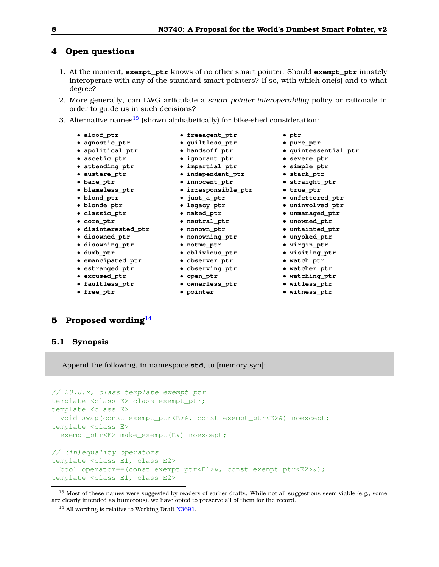# <span id="page-7-0"></span>**4 Open questions**

- 1. At the moment, **exempt\_ptr** knows of no other smart pointer. Should **exempt\_ptr** innately interoperate with any of the standard smart pointers? If so, with which one(s) and to what degree?
- 2. More generally, can LWG articulate a *smart pointer interoperability* policy or rationale in order to guide us in such decisions?
- 3. Alternative names $^{13}$  $^{13}$  $^{13}$  (shown alphabetically) for bike-shed consideration:
	- **aloof\_ptr**
	- **agnostic\_ptr**
	- **apolitical\_ptr**
	- **ascetic\_ptr**
	- **attending\_ptr**
	- **austere\_ptr**
	- **bare\_ptr**
	- **blameless\_ptr**
	- **blond\_ptr**
	- **blonde\_ptr** • **classic\_ptr**
	- **core\_ptr**
	- **disinterested\_ptr**
	- **disowned\_ptr**
	- **disowning\_ptr**
	- **dumb\_ptr**
	-
	- **emancipated\_ptr** • **estranged\_ptr**
	- **excused\_ptr**
	- **faultless\_ptr**
	-
	- **free\_ptr**
- **freeagent\_ptr**
- **guiltless\_ptr**
- **handsoff\_ptr**
- **ignorant\_ptr**
- 
- 
- 
- 
- 
- 
- 
- 
- **neutral\_ptr**
- **nonown\_ptr**
- **nonowning\_ptr**
- **notme\_ptr**
- **oblivious\_ptr**
- **observer\_ptr**
- **observing\_ptr**
- **open\_ptr**
- **ownerless\_ptr**
- **pointer**
- **ptr**
- **pure\_ptr**
- pure\_ptr<br>• quintessential\_ptr<br>• severe\_ptr<br>• simple\_ptr<br>• stark\_ptr<br>• straight\_ptr<br>• true\_ptr
	- **severe\_ptr**
	- **simple\_ptr**
	- **stark\_ptr**
	- **straight\_ptr**
	- **true\_ptr**
	- **unfettered\_ptr**
	- **uninvolved\_ptr**
	- **unmanaged\_ptr**
	- **unowned\_ptr**
	- **untainted\_ptr**
	- **unyoked\_ptr**
	- **virgin\_ptr**
	- **visiting\_ptr**
	- **watch\_ptr**
	- **watcher\_ptr**
	- **watching\_ptr**
	- **witless\_ptr**
	- **witness\_ptr**

# <span id="page-7-1"></span>**5 Proposed wording**[14](#page-7-3)

## **5.1 Synopsis**

Append the following, in namespace **std**, to [memory.syn]:

```
// 20.8.x, class template exempt_ptr
template <class E> class exempt_ptr;
template <class E>
 void swap(const exempt_ptr<E>&, const exempt_ptr<E>&) noexcept;
template <class E>
  exempt_ptr<E> make_exempt(E*) noexcept;
// (in)equality operators
template <class E1, class E2>
 bool operator==(const exempt_ptr<E1>&, const exempt_ptr<E2>&);
template <class E1, class E2>
```
- **impartial\_ptr** • **independent\_ptr**
- **innocent\_ptr**
- **irresponsible\_ptr**
- **just\_a\_ptr**
- **legacy\_ptr**
- **naked\_ptr**
- 

<span id="page-7-2"></span> $13$  Most of these names were suggested by readers of earlier drafts. While not all suggestions seem viable (e.g., some are clearly intended as humorous), we have opted to preserve all of them for the record.

<span id="page-7-3"></span><sup>&</sup>lt;sup>14</sup> All wording is relative to Working Draft [N3691.](http://www.open-std.org/jtc1/sc22/wg21/docs/papers/2013/n3691.pdf)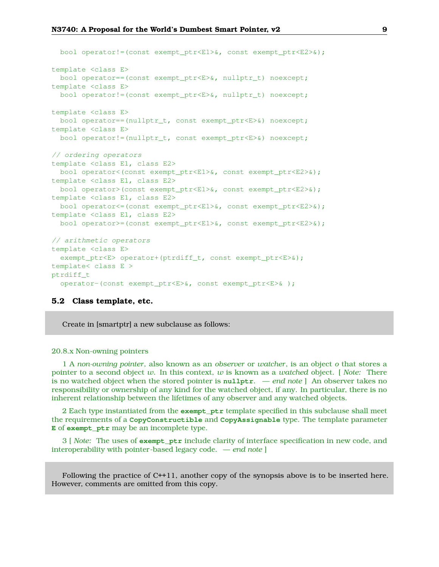```
bool operator!=(const exempt ptr\times E1>\&, const exempt ptr\times E2>\&);
template <class E>
 bool operator==(const exempt_ptr<E>&, nullptr_t) noexcept;
template <class E>
 bool operator!=(const exempt_ptr<E>&, nullptr_t) noexcept;
template <class E>
 bool operator==(nullptr_t, const exempt_ptr<E>&) noexcept;
template <class E>
 bool operator!=(nullptr_t, const exempt_ptr<E>&) noexcept;
// ordering operators
template <class E1, class E2>
 bool operator<(const exempt_ptr<E1>&, const exempt_ptr<E2>&);
template <class E1, class E2>
 bool operator>(const exempt_ptr<E1>&, const exempt_ptr<E2>&);
template <class E1, class E2>
 bool operator<=(const exempt_ptr<E1>&, const exempt_ptr<E2>&);
template <class E1, class E2>
 bool operator>=(const exempt_ptr<E1>&, const exempt_ptr<E2>&);
// arithmetic operators
template <class E>
 exempt_ptr<E> operator+(ptrdiff_t, const exempt_ptr<E>&);
template< class E >
ptrdiff_t
  operator-(const exempt_ptr<E>&, const exempt_ptr<E>& );
```
## **5.2 Class template, etc.**

Create in [smartptr] a new subclause as follows:

#### 20.8.x Non-owning pointers

1 A *non-owning pointer*, also known as an *observer* or *watcher*, is an object *o* that stores a pointer to a second object *w*. In this context, *w* is known as a *watched* object. [ *Note:* There is no watched object when the stored pointer is **nullptr**. — *end note* ] An observer takes no responsibility or ownership of any kind for the watched object, if any. In particular, there is no inherent relationship between the lifetimes of any observer and any watched objects.

2 Each type instantiated from the **exempt\_ptr** template specified in this subclause shall meet the requirements of a **CopyConstructible** and **CopyAssignable** type. The template parameter **E** of **exempt\_ptr** may be an incomplete type.

3 [ *Note:* The uses of **exempt\_ptr** include clarity of interface specification in new code, and interoperability with pointer-based legacy code. — *end note* ]

Following the practice of C++11, another copy of the synopsis above is to be inserted here. However, comments are omitted from this copy.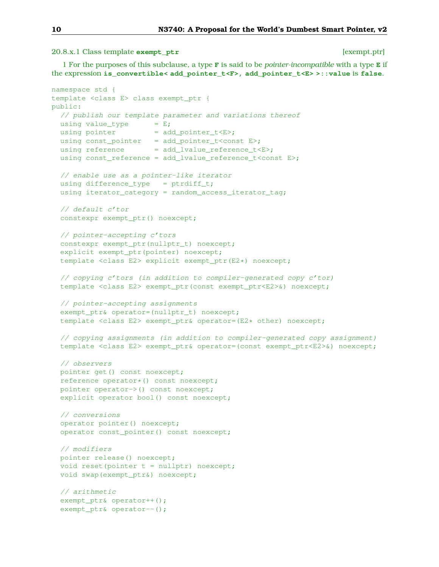20.8.x.1 Class template **exempt\_ptr** [exempt.ptr]

1 For the purposes of this subclause, a type **F** is said to be *pointer-incompatible* with a type **E** if the expression **is\_convertible< add\_pointer\_t<F>, add\_pointer\_t<E> >::value** is **false**.

```
namespace std {
template <class E> class exempt_ptr {
public:
 // publish our template parameter and variations thereof
 using value_type = E;
 using pointer = add\_pointer_t < E>;
 using const_pointer = add_pointer_t<const E>;
 using reference = add\_lvalue\_reference_t \langle E \rangle;using const_reference = add_lvalue_reference_t<const E>;
 // enable use as a pointer-like iterator
  using difference_type = ptrdiff_t;
 using iterator_category = random_access_iterator_tag;
  // default c'tor
  constexpr exempt_ptr() noexcept;
  // pointer-accepting c'tors
  constexpr exempt_ptr(nullptr_t) noexcept;
  explicit exempt_ptr(pointer) noexcept;
  template <class E2> explicit exempt_ptr(E2*) noexcept;
  // copying c'tors (in addition to compiler-generated copy c'tor)
  template <class E2> exempt_ptr(const exempt_ptr<E2>&) noexcept;
  // pointer-accepting assignments
  exempt_ptr& operator=(nullptr_t) noexcept;
  template <class E2> exempt_ptr& operator=(E2* other) noexcept;
  // copying assignments (in addition to compiler-generated copy assignment)
  template <class E2> exempt_ptr& operator=(const exempt_ptr<E2>&) noexcept;
  // observers
 pointer get() const noexcept;
  reference operator*() const noexcept;
  pointer operator->() const noexcept;
  explicit operator bool() const noexcept;
  // conversions
  operator pointer() noexcept;
  operator const_pointer() const noexcept;
  // modifiers
  pointer release() noexcept;
  void reset(pointer t = nullptr) noexcept;
  void swap(exempt_ptr&) noexcept;
  // arithmetic
  exempt_ptr& operator++();
  exempt_ptr& operator--();
```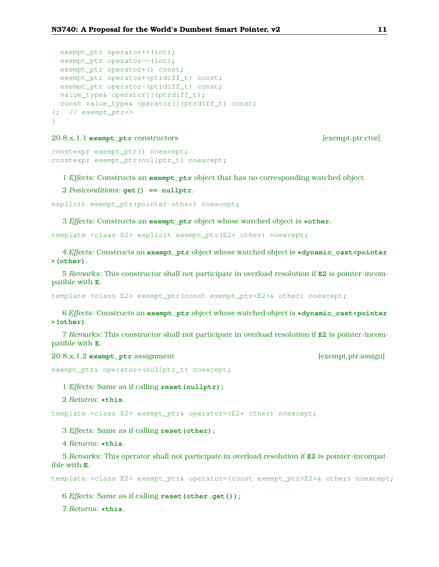```
exempt_ptr operator++(int);
 exempt_ptr operator--(int);
 exempt_ptr operator+() const;
 exempt_ptr operator+(ptrdiff_t) const;
 exempt_ptr operator-(ptrdiff_t) const;
 value_type& operator[](ptrdiff_t);
 const value type& operator[](ptrdiff t) const;
}; // exempt_ptr <>
}
```
## 20.8.x.1.1 **exempt\_ptr** constructors [exempt.ptr.ctor]

```
constexpr exempt_ptr() noexcept;
constexpr exempt_ptr(nullptr_t) noexcept;
```
1 *Effects:* Constructs an **exempt\_ptr** object that has no corresponding watched object.

2 *Postconditions:* **get() == nullptr**.

```
explicit exempt_ptr(pointer other) noexcept;
```
3 *Effects:* Constructs an **exempt\_ptr** object whose watched object is **\*other**.

template <class E2> explicit exempt\_ptr(E2\* other) noexcept;

4 *Effects:* Constructs an **exempt\_ptr** object whose watched object is **\*dynamic\_cast<pointer >(other)**.

5 *Remarks:* This constructor shall not participate in overload resolution if **E2** is pointer-incompatible with **E**.

template <class E2> exempt\_ptr(const exempt\_ptr<E2>& other) noexcept;

6 *Effects:* Constructs an **exempt\_ptr** object whose watched object is **\*dynamic\_cast<pointer >(other)**.

7 *Remarks:* This constructor shall not participate in overload resolution if **E2** is pointer-incompatible with **E**.

20.8.x.1.2 **exempt\_ptr** assignment [exempt.ptr.assign]

```
exempt_ptr& operator=(nullptr_t) noexcept;
```
1 *Effects:* Same as if calling **reset(nullptr);**

2 *Returns:* **\*this**.

template <class E2> exempt\_ptr& operator=(E2\* other) noexcept;

3 *Effects:* Same as if calling **reset(other);**

4 *Returns:* **\*this**.

5 *Remarks:* This operator shall not participate in overload resolution if **E2** is pointer-incompatible with **E**.

template <class E2> exempt\_ptr& operator=(const exempt\_ptr<E2>& other) noexcept;

6 *Effects:* Same as if calling **reset(other.get());**

7 *Returns:* **\*this**.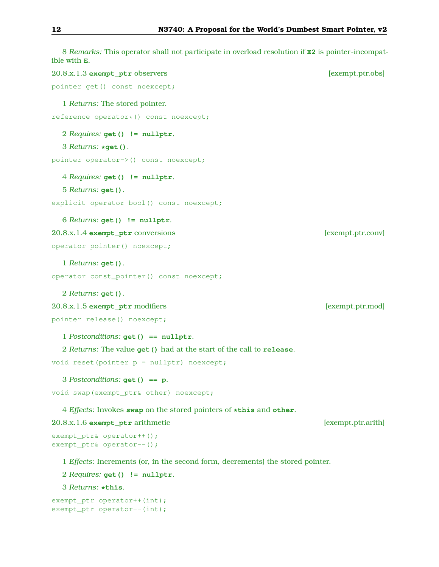8 *Remarks:* This operator shall not participate in overload resolution if **E2** is pointer-incompatible with **E**. 20.8.x.1.3 **exempt\_ptr** observers [exempt.ptr.obs] pointer get() const noexcept; 1 *Returns:* The stored pointer. reference operator\*() const noexcept; 2 *Requires:* **get() != nullptr**. 3 *Returns:* **\*get()**. pointer operator->() const noexcept; 4 *Requires:* **get() != nullptr**. 5 *Returns:* **get()**. explicit operator bool() const noexcept; 6 *Returns:* **get() != nullptr**. 20.8.x.1.4 **exempt\_ptr** conversions [exempt.ptr.conv] operator pointer() noexcept; 1 *Returns:* **get()**. operator const\_pointer() const noexcept; 2 *Returns:* **get()**. 20.8.x.1.5 **exempt\_ptr** modifiers [exempt.ptr.mod] pointer release() noexcept; 1 *Postconditions:* **get() == nullptr**. 2 *Returns:* The value **get()** had at the start of the call to **release**. void reset(pointer  $p = nullptr$ ) noexcept; 3 *Postconditions:* **get() == p**. void swap(exempt\_ptr& other) noexcept; 4 *Effects:* Invokes **swap** on the stored pointers of **\*this** and **other**. 20.8.x.1.6 **exempt\_ptr** arithmetic [exempt.ptr.arith] exempt\_ptr& operator++(); exempt\_ptr& operator--(); 1 *Effects:* Increments (or, in the second form, decrements) the stored pointer. 2 *Requires:* **get() != nullptr**. 3 *Returns:* **\*this**. exempt\_ptr operator++(int);

```
exempt_ptr operator--(int);
```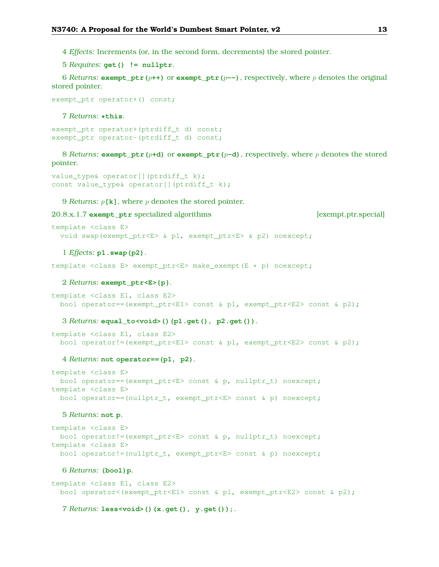- 4 *Effects:* Increments (or, in the second form, decrements) the stored pointer.
- 5 *Requires:* **get() != nullptr**.

6 *Returns:* **exempt\_ptr(** $p$ ++) or **exempt\_ptr(** $p$ --), respectively, where p denotes the original stored pointer.

```
exempt_ptr operator+() const;
```
#### 7 *Returns:* **\*this**.

exempt\_ptr operator+(ptrdiff\_t d) const; exempt\_ptr operator-(ptrdiff\_t d) const;

8 *Returns:* **exempt**  $\mathbf{ptr}(p+\mathbf{d})$  or **exempt**  $\mathbf{ptr}(p-\mathbf{d})$ , respectively, where p denotes the stored pointer.

```
value_type& operator[](ptrdiff_t k);
const value_type& operator[](ptrdiff_t k);
```
9 *Returns:* p**[k]**, where p denotes the stored pointer.

### 20.8.x.1.7 **exempt\_ptr** specialized algorithms [exempt.ptr.special]

```
template <class E>
 void swap(exempt_ptr<E> & p1, exempt_ptr<E> & p2) noexcept;
```
#### 1 *Effects:* **p1.swap(p2)**.

template <class E> exempt\_ptr<E> make\_exempt(E \* p) noexcept;

### 2 *Returns:* **exempt\_ptr<E>{p}**.

```
template <class E1, class E2>
 bool operator==(exempt_ptr<E1> const & p1, exempt_ptr<E2> const & p2);
```
3 *Returns:* **equal\_to<void>()(p1.get(), p2.get())**.

```
template <class E1, class E2>
 bool operator!=(exempt_ptr<E1> const & p1, exempt_ptr<E2> const & p2);
```
#### 4 *Returns:* **not operator==(p1, p2)**.

```
template <class E>
 bool operator==(exempt_ptr<E> const & p, nullptr_t) noexcept;
template <class E>
 bool operator==(nullptr_t, exempt_ptr<E> const & p) noexcept;
```
#### 5 *Returns:* **not p**.

```
template <class E>
 bool operator!=(exempt_ptr<E> const & p, nullptr_t) noexcept;
template <class E>
 bool operator!=(nullptr_t, exempt_ptr<E> const & p) noexcept;
```
#### 6 *Returns:* **(bool)p**.

template <class E1, class E2> bool operator<(exempt\_ptr<E1> const & p1, exempt\_ptr<E2> const & p2);

7 *Returns:* **less<void>()(x.get(), y.get());**.